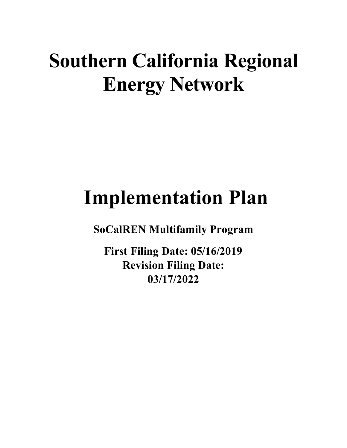# **Southern California Regional Energy Network**

# **Implementation Plan**

**SoCalREN Multifamily Program**

**First Filing Date: 05/16/2019 Revision Filing Date: 03/17/2022**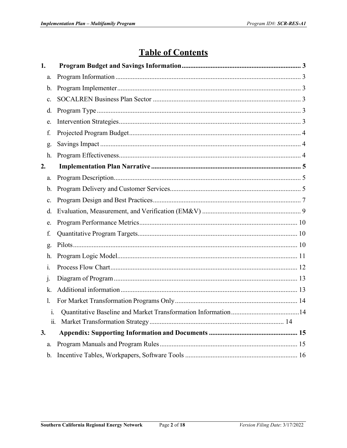## **Table of Contents**

| 1.            |  |  |  |
|---------------|--|--|--|
| a.            |  |  |  |
| $\mathbf b$ . |  |  |  |
| c.            |  |  |  |
| d.            |  |  |  |
| e.            |  |  |  |
| f.            |  |  |  |
| g.            |  |  |  |
| h.            |  |  |  |
| 2.            |  |  |  |
| a.            |  |  |  |
| $\mathbf b$ . |  |  |  |
| c.            |  |  |  |
| d.            |  |  |  |
| e.            |  |  |  |
| f.            |  |  |  |
| g.            |  |  |  |
| h.            |  |  |  |
| 1.            |  |  |  |
| j.            |  |  |  |
| k.            |  |  |  |
| 1.            |  |  |  |
| 1.            |  |  |  |
|               |  |  |  |
| 3.            |  |  |  |
| a.            |  |  |  |
| $\mathbf b$ . |  |  |  |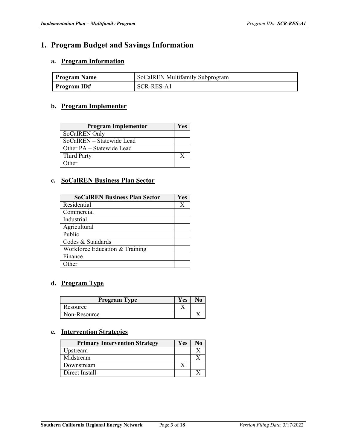## <span id="page-2-0"></span>**1. Program Budget and Savings Information**

#### <span id="page-2-1"></span>**a. Program Information**

| <b>Program Name</b> | SoCalREN Multifamily Subprogram |
|---------------------|---------------------------------|
| Program ID#         | SCR-RES-A1                      |

#### <span id="page-2-2"></span>**b. Program Implementer**

| <b>Program Implementor</b> | <b>Yes</b> |
|----------------------------|------------|
| SoCalREN Only              |            |
| SoCalREN – Statewide Lead  |            |
| Other PA – Statewide Lead  |            |
| <b>Third Party</b>         | X          |
| Other                      |            |

#### <span id="page-2-3"></span>**c. SoCalREN Business Plan Sector**

| <b>SoCalREN Business Plan Sector</b> | Yes |
|--------------------------------------|-----|
| Residential                          | Х   |
| Commercial                           |     |
| Industrial                           |     |
| Agricultural                         |     |
| Public                               |     |
| Codes & Standards                    |     |
| Workforce Education & Training       |     |
| Finance                              |     |
| )ther                                |     |

#### <span id="page-2-4"></span>**d. Program Type**

| <b>Program Type</b> | Yes | No. |
|---------------------|-----|-----|
| Resource            |     |     |
| Non-Resource        |     |     |

#### <span id="page-2-5"></span>**e. Intervention Strategies**

| <b>Primary Intervention Strategy</b> | Yes |  |
|--------------------------------------|-----|--|
| Upstream                             |     |  |
| Midstream                            |     |  |
| Downstream                           |     |  |
| Direct Install                       |     |  |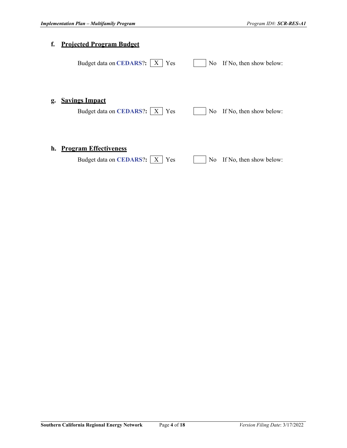<span id="page-3-2"></span><span id="page-3-1"></span><span id="page-3-0"></span>

| f. | <b>Projected Program Budget</b>                                            |                                           |
|----|----------------------------------------------------------------------------|-------------------------------------------|
|    | Budget data on CEDARS?:<br>Yes<br>X                                        | If No, then show below:<br>No.            |
| g. | <b>Savings Impact</b><br>Budget data on <b>CEDARS</b> ?:   X<br>Yes        | If No, then show below:<br>N <sub>0</sub> |
| h. | <b>Program Effectiveness</b><br>Budget data on <b>CEDARS</b> ?:   X<br>Yes | If No, then show below:<br>N <sub>0</sub> |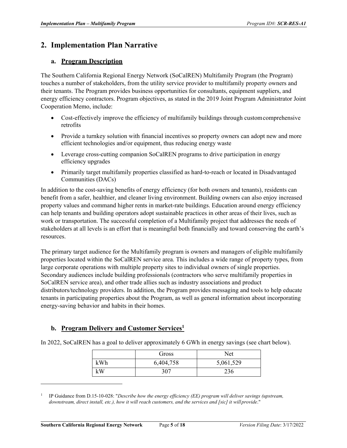### <span id="page-4-1"></span><span id="page-4-0"></span>**2. Implementation Plan Narrative**

#### **a. Program Description**

The Southern California Regional Energy Network (SoCalREN) Multifamily Program (the Program) touches a number of stakeholders, from the utility service provider to multifamily property owners and their tenants. The Program provides business opportunities for consultants, equipment suppliers, and energy efficiency contractors. Program objectives, as stated in the 2019 Joint Program Administrator Joint Cooperation Memo, include:

- Cost-effectively improve the efficiency of multifamily buildings through customcomprehensive retrofits
- Provide a turnkey solution with financial incentives so property owners can adopt new and more efficient technologies and/or equipment, thus reducing energy waste
- Leverage cross-cutting companion SoCalREN programs to drive participation in energy efficiency upgrades
- Primarily target multifamily properties classified as hard-to-reach or located in Disadvantaged Communities (DACs)

In addition to the cost-saving benefits of energy efficiency (for both owners and tenants), residents can benefit from a safer, healthier, and cleaner living environment. Building owners can also enjoy increased property values and command higher rents in market-rate buildings. Education around energy efficiency can help tenants and building operators adopt sustainable practices in other areas of their lives, such as work or transportation. The successful completion of a Multifamily project that addresses the needs of stakeholders at all levels is an effort that is meaningful both financially and toward conserving the earth's resources.

The primary target audience for the Multifamily program is owners and managers of eligible multifamily properties located within the SoCalREN service area. This includes a wide range of property types, from large corporate operations with multiple property sites to individual owners of single properties. Secondary audiences include building professionals (contractors who serve multifamily properties in SoCalREN service area), and other trade allies such as industry associations and product distributors/technology providers. In addition, the Program provides messaging and tools to help educate tenants in participating properties about the Program, as well as general information about incorporating energy-saving behavior and habits in their homes.

#### **b. Program Delivery and Customer Services1**

In 2022, SoCalREN has a goal to deliver approximately 6 GWh in energy savings (see chart below).

|     | Gross     | Net       |
|-----|-----------|-----------|
| kWh | 6,404,758 | 5,061,529 |
| kW  | 307       | 236       |

<sup>1</sup> IP Guidance from D.15-10-028: "*Describe how the energy efficiency (EE) program will deliver savings (upstream, downstream, direct install, etc.), how it will reach customers, and the services and [sic] it will provide."*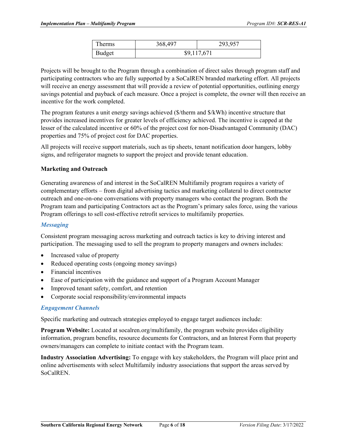| Therms | 368,497     | 293,957 |
|--------|-------------|---------|
| Budget | \$9,117,671 |         |

Projects will be brought to the Program through a combination of direct sales through program staff and participating contractors who are fully supported by a SoCalREN branded marketing effort. All projects will receive an energy assessment that will provide a review of potential opportunities, outlining energy savings potential and payback of each measure. Once a project is complete, the owner will then receive an incentive for the work completed.

The program features a unit energy savings achieved (\$/therm and \$/kWh) incentive structure that provides increased incentives for greater levels of efficiency achieved. The incentive is capped at the lesser of the calculated incentive or 60% of the project cost for non-Disadvantaged Community (DAC) properties and 75% of project cost for DAC properties.

All projects will receive support materials, such as tip sheets, tenant notification door hangers, lobby signs, and refrigerator magnets to support the project and provide tenant education.

#### **Marketing and Outreach**

Generating awareness of and interest in the SoCalREN Multifamily program requires a variety of complementary efforts – from digital advertising tactics and marketing collateral to direct contractor outreach and one-on-one conversations with property managers who contact the program. Both the Program team and participating Contractors act as the Program's primary sales force, using the various Program offerings to sell cost-effective retrofit services to multifamily properties.

#### *Messaging*

Consistent program messaging across marketing and outreach tactics is key to driving interest and participation. The messaging used to sell the program to property managers and owners includes:

- Increased value of property
- Reduced operating costs (ongoing money savings)
- Financial incentives
- Ease of participation with the guidance and support of a Program Account Manager
- Improved tenant safety, comfort, and retention
- Corporate social responsibility/environmental impacts

#### *Engagement Channels*

Specific marketing and outreach strategies employed to engage target audiences include:

**Program Website:** Located at socalren.org/multifamily, the program website provides eligibility information, program benefits, resource documents for Contractors, and an Interest Form that property owners/managers can complete to initiate contact with the Program team.

**Industry Association Advertising:** To engage with key stakeholders, the Program will place print and online advertisements with select Multifamily industry associations that support the areas served by SoCalREN.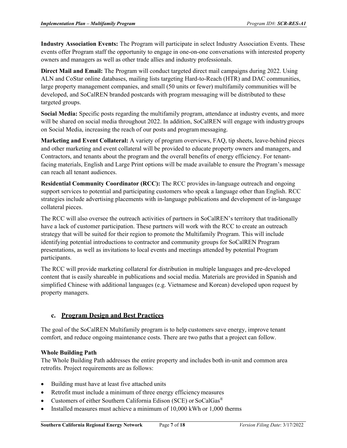**Industry Association Events:** The Program will participate in select Industry Association Events. These events offer Program staff the opportunity to engage in one-on-one conversations with interested property owners and managers as well as other trade allies and industry professionals.

**Direct Mail and Email:** The Program will conduct targeted direct mail campaigns during 2022. Using ALN and CoStar online databases, mailing lists targeting Hard-to-Reach (HTR) and DAC communities, large property management companies, and small (50 units or fewer) multifamily communities will be developed, and SoCalREN branded postcards with program messaging will be distributed to these targeted groups.

**Social Media:** Specific posts regarding the multifamily program, attendance at industry events, and more will be shared on social media throughout 2022. In addition, SoCalREN will engage with industry groups on Social Media, increasing the reach of our posts and program messaging.

**Marketing and Event Collateral:** A variety of program overviews, FAQ, tip sheets, leave-behind pieces and other marketing and event collateral will be provided to educate property owners and managers, and Contractors, and tenants about the program and the overall benefits of energy efficiency. For tenantfacing materials, English and Large Print options will be made available to ensure the Program's message can reach all tenant audiences.

**Residential Community Coordinator (RCC):** The RCC provides in-language outreach and ongoing support services to potential and participating customers who speak a language other than English. RCC strategies include advertising placements with in-language publications and development of in-language collateral pieces.

The RCC will also oversee the outreach activities of partners in SoCalREN's territory that traditionally have a lack of customer participation. These partners will work with the RCC to create an outreach strategy that will be suited for their region to promote the Multifamily Program. This will include identifying potential introductions to contractor and community groups for SoCalREN Program presentations, as well as invitations to local events and meetings attended by potential Program participants.

The RCC will provide marketing collateral for distribution in multiple languages and pre-developed content that is easily shareable in publications and social media. Materials are provided in Spanish and simplified Chinese with additional languages (e.g. Vietnamese and Korean) developed upon request by property managers.

#### **c. Program Design and Best Practices**

<span id="page-6-0"></span>The goal of the SoCalREN Multifamily program is to help customers save energy, improve tenant comfort, and reduce ongoing maintenance costs. There are two paths that a project can follow.

#### **Whole Building Path**

The Whole Building Path addresses the entire property and includes both in-unit and common area retrofits. Project requirements are as follows:

- Building must have at least five attached units
- Retrofit must include a minimum of three energy efficiency measures
- Customers of either Southern California Edison (SCE) or SoCalGas®
- Installed measures must achieve a minimum of 10,000 kWh or 1,000 therms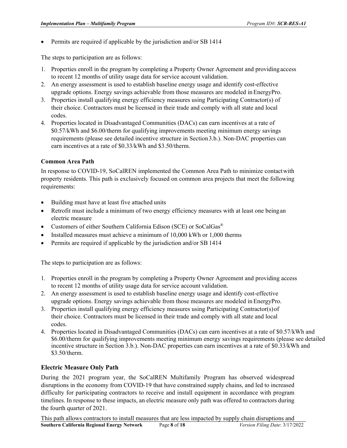• Permits are required if applicable by the jurisdiction and/or SB 1414

The steps to participation are as follows:

- 1. Properties enroll in the program by completing a Property Owner Agreement and providingaccess to recent 12 months of utility usage data for service account validation.
- 2. An energy assessment is used to establish baseline energy usage and identify cost-effective upgrade options. Energy savings achievable from those measures are modeled inEnergyPro.
- 3. Properties install qualifying energy efficiency measures using Participating Contractor(s) of their choice. Contractors must be licensed in their trade and comply with all state and local codes.
- 4. Properties located in Disadvantaged Communities (DACs) can earn incentives at a rate of \$0.57/kWh and \$6.00/therm for qualifying improvements meeting minimum energy savings requirements (please see detailed incentive structure in Section3.b.). Non-DAC properties can earn incentives at a rate of \$0.33/kWh and \$3.50/therm.

#### **Common Area Path**

In response to COVID-19, SoCalREN implemented the Common Area Path to minimize contactwith property residents. This path is exclusively focused on common area projects that meet the following requirements:

- Building must have at least five attached units
- Retrofit must include a minimum of two energy efficiency measures with at least one beingan electric measure
- Customers of either Southern California Edison (SCE) or SoCalGas<sup>®</sup>
- Installed measures must achieve a minimum of 10,000 kWh or 1,000 therms
- Permits are required if applicable by the jurisdiction and/or SB 1414

The steps to participation are as follows:

- 1. Properties enroll in the program by completing a Property Owner Agreement and providing access to recent 12 months of utility usage data for service account validation.
- 2. An energy assessment is used to establish baseline energy usage and identify cost-effective upgrade options. Energy savings achievable from those measures are modeled in EnergyPro.
- 3. Properties install qualifying energy efficiency measures using Participating Contractor(s)of their choice. Contractors must be licensed in their trade and comply with all state and local codes.
- 4. Properties located in Disadvantaged Communities (DACs) can earn incentives at a rate of \$0.57/kWh and \$6.00/therm for qualifying improvements meeting minimum energy savings requirements (please see detailed incentive structure in Section 3.b.). Non-DAC properties can earn incentives at a rate of \$0.33/kWh and \$3.50/therm.

#### **Electric Measure Only Path**

During the 2021 program year, the SoCalREN Multifamily Program has observed widespread disruptions in the economy from COVID-19 that have constrained supply chains, and led to increased difficulty for participating contractors to receive and install equipment in accordance with program timelines. In response to these impacts, an electric measure only path was offered to contractors during the fourth quarter of 2021.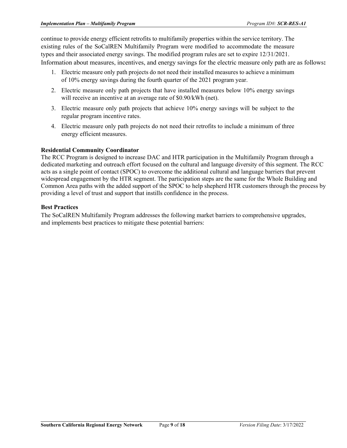continue to provide energy efficient retrofits to multifamily properties within the service territory. The existing rules of the SoCalREN Multifamily Program were modified to accommodate the measure types and their associated energy savings. The modified program rules are set to expire 12/31/2021. Information about measures, incentives, and energy savings for the electric measure only path are as follows**:**

- 1. Electric measure only path projects do not need their installed measures to achieve a minimum of 10% energy savings during the fourth quarter of the 2021 program year.
- 2. Electric measure only path projects that have installed measures below 10% energy savings will receive an incentive at an average rate of \$0.90/kWh (net).
- 3. Electric measure only path projects that achieve 10% energy savings will be subject to the regular program incentive rates.
- 4. Electric measure only path projects do not need their retrofits to include a minimum of three energy efficient measures.

#### **Residential Community Coordinator**

The RCC Program is designed to increase DAC and HTR participation in the Multifamily Program through a dedicated marketing and outreach effort focused on the cultural and language diversity of this segment. The RCC acts as a single point of contact (SPOC) to overcome the additional cultural and language barriers that prevent widespread engagement by the HTR segment. The participation steps are the same for the Whole Building and Common Area paths with the added support of the SPOC to help shepherd HTR customers through the process by providing a level of trust and support that instills confidence in the process.

#### **Best Practices**

The SoCalREN Multifamily Program addresses the following market barriers to comprehensive upgrades, and implements best practices to mitigate these potential barriers: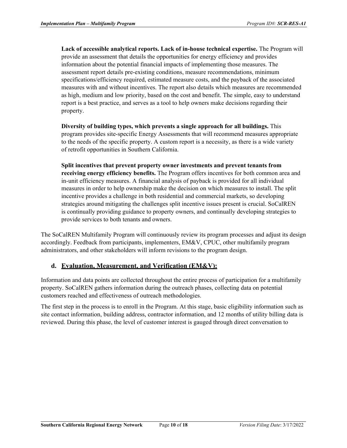**Lack of accessible analytical reports. Lack of in-house technical expertise.** The Program will provide an assessment that details the opportunities for energy efficiency and provides information about the potential financial impacts of implementing those measures. The assessment report details pre-existing conditions, measure recommendations, minimum specifications/efficiency required, estimated measure costs, and the payback of the associated measures with and without incentives. The report also details which measures are recommended as high, medium and low priority, based on the cost and benefit. The simple, easy to understand report is a best practice, and serves as a tool to help owners make decisions regarding their property.

**Diversity of building types, which prevents a single approach for all buildings.** This program provides site-specific Energy Assessments that will recommend measures appropriate to the needs of the specific property. A custom report is a necessity, as there is a wide variety of retrofit opportunities in Southern California.

**Split incentives that prevent property owner investments and prevent tenants from receiving energy efficiency benefits.** The Program offers incentives for both common area and in-unit efficiency measures. A financial analysis of payback is provided for all individual measures in order to help ownership make the decision on which measures to install. The split incentive provides a challenge in both residential and commercial markets, so developing strategies around mitigating the challenges split incentive issues present is crucial. SoCalREN is continually providing guidance to property owners, and continually developing strategies to provide services to both tenants and owners.

The SoCalREN Multifamily Program will continuously review its program processes and adjust its design accordingly. Feedback from participants, implementers, EM&V, CPUC, other multifamily program administrators, and other stakeholders will inform revisions to the program design.

#### **d. Evaluation, Measurement, and Verification (EM&V):**

<span id="page-9-0"></span>Information and data points are collected throughout the entire process of participation for a multifamily property. SoCalREN gathers information during the outreach phases, collecting data on potential customers reached and effectiveness of outreach methodologies.

The first step in the process is to enroll in the Program. At this stage, basic eligibility information such as site contact information, building address, contractor information, and 12 months of utility billing data is reviewed. During this phase, the level of customer interest is gauged through direct conversation to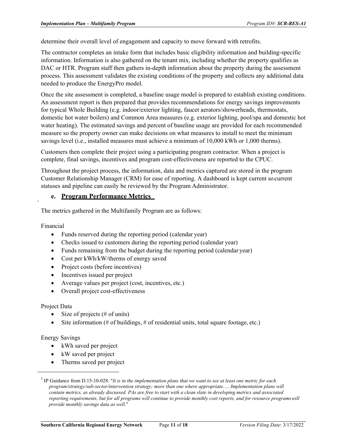determine their overall level of engagement and capacity to move forward with retrofits.

The contractor completes an intake form that includes basic eligibility information and building-specific information. Information is also gathered on the tenant mix, including whether the property qualifies as DAC or HTR. Program staff then gathers in-depth information about the property during the assessment process. This assessment validates the existing conditions of the property and collects any additional data needed to produce the EnergyPro model.

Once the site assessment is completed, a baseline usage model is prepared to establish existing conditions. An assessment report is then prepared that provides recommendations for energy savings improvements for typical Whole Building (e.g. indoor/exterior lighting, faucet aerators/showerheads, thermostats, domestic hot water boilers) and Common Area measures (e.g. exterior lighting, pool/spa and domestic hot water heating). The estimated savings and percent of baseline usage are provided for each recommended measure so the property owner can make decisions on what measures to install to meet the minimum savings level (i.e., installed measures must achieve a minimum of 10,000 kWh or 1,000 therms).

Customers then complete their project using a participating program contractor. When a project is complete, final savings, incentives and program cost-effectiveness are reported to the CPUC.

Throughout the project process, the information, data and metrics captured are stored in the program Customer Relationship Manager (CRM) for ease of reporting. A dashboard is kept current socurrent statuses and pipeline can easily be reviewed by the Program Administrator.

#### <span id="page-10-0"></span>**e. Program Performance Metrics 1**

The metrics gathered in the Multifamily Program are as follows:

Financial

- Funds reserved during the reporting period (calendar year)
- Checks issued to customers during the reporting period (calendar year)
- Funds remaining from the budget during the reporting period (calendar year)
- Cost per kWh/kW/therms of energy saved
- Project costs (before incentives)
- Incentives issued per project
- Average values per project (cost, incentives, etc.)
- Overall project cost-effectiveness

#### Project Data

- Size of projects  $(\# \text{ of units})$
- Site information (# of buildings,  $#$  of residential units, total square footage, etc.)

#### Energy Savings

- kWh saved per project
- kW saved per project
- Therms saved per project

<sup>1</sup> IP Guidance from D.15-10-028: "*It is in the implementation plans that we want to see at least one metric for each program/strategy/sub-sector/intervention strategy; more than one where appropriate*…. *Implementation plans will contain metrics, as already discussed. PAs are free to start with a clean slate in developing metrics and associated reporting requirements, but for all programs will continue to provide monthly cost reports, and for resource programswill provide monthly savings data as well*."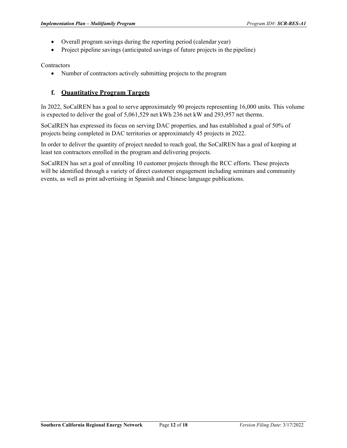- <span id="page-11-1"></span>• Overall program savings during the reporting period (calendar year)
- Project pipeline savings (anticipated savings of future projects in the pipeline)

**Contractors** 

• Number of contractors actively submitting projects to the program

#### **f. Quantitative Program Targets**

<span id="page-11-0"></span>In 2022, SoCalREN has a goal to serve approximately 90 projects representing 16,000 units. This volume is expected to deliver the goal of 5,061,529 net kWh 236 net kW and 293,957 net therms.

SoCalREN has expressed its focus on serving DAC properties, and has established a goal of 50% of projects being completed in DAC territories or approximately 45 projects in 2022.

In order to deliver the quantity of project needed to reach goal, the SoCalREN has a goal of keeping at least ten contractors enrolled in the program and delivering projects.

SoCalREN has set a goal of enrolling 10 customer projects through the RCC efforts. These projects will be identified through a variety of direct customer engagement including seminars and community events, as well as print advertising in Spanish and Chinese language publications.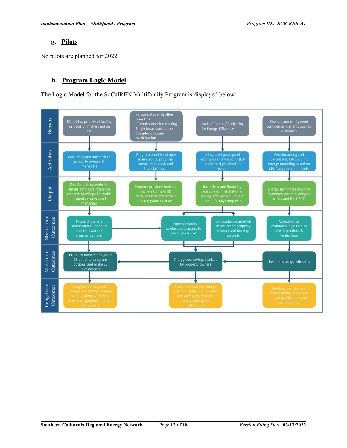#### **g. Pilots**

No pilots are planned for 2022.

#### **h. Program Logic Model**

<span id="page-12-0"></span>The Logic Model for the SoCalREN Multifamily Program is displayed below:

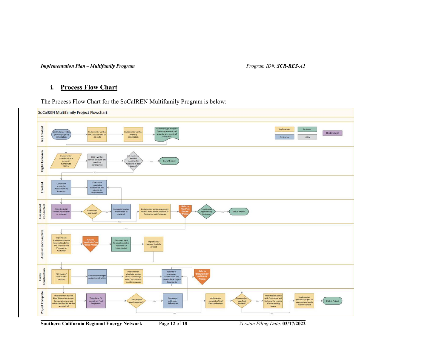*Implementation Plan – Multifamily Program Program ID#: SCR-RES-A1*

#### **i. Process Flow Chart**

The Process Flow Chart for the SoCalREN Multifamily Program is below:

<span id="page-13-0"></span>

**Southern California Regional Energy Network** Page **12** of **18** *Version Filing Date*: **03/17/2022**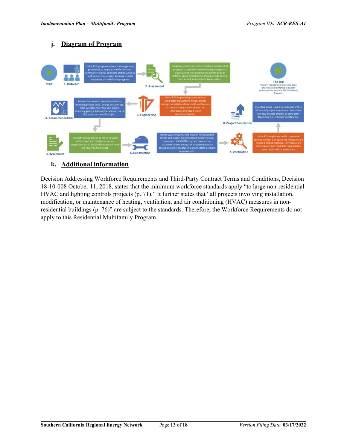#### <span id="page-14-0"></span>**j. Diagram of Program**



#### <span id="page-14-1"></span>**k. Additional information**

Decision Addressing Workforce Requirements and Third-Party Contract Terms and Conditions, Decision 18-10-008 October 11, 2018, states that the minimum workforce standards apply "to large non-residential HVAC and lighting controls projects (p. 71)." It further states that "all projects involving installation, modification, or maintenance of heating, ventilation, and air conditioning (HVAC) measures in nonresidential buildings (p. 76)" are subject to the standards. Therefore, the Workforce Requirements do not apply to this Residential Multifamily Program.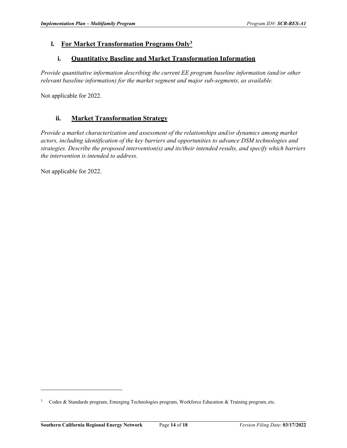#### **l. For Market Transformation Programs Only3**

#### **i. Quantitative Baseline and Market Transformation Information**

<span id="page-15-0"></span>*Provide quantitative information describing the current EE program baseline information (and/or other relevant baseline information) for the market segment and major sub-segments, as available.*

Not applicable for 2022.

#### **ii. Market Transformation Strategy**

<span id="page-15-1"></span>*Provide a market characterization and assessment of the relationships and/or dynamics among market actors, including identification of the key barriers and opportunities to advance DSM technologies and strategies. Describe the proposed intervention(s) and its/their intended results, and specify which barriers the intervention is intended to address.*

Not applicable for 2022.

<sup>&</sup>lt;sup>3</sup> Codes & Standards program, Emerging Technologies program, Workforce Education & Training program, etc.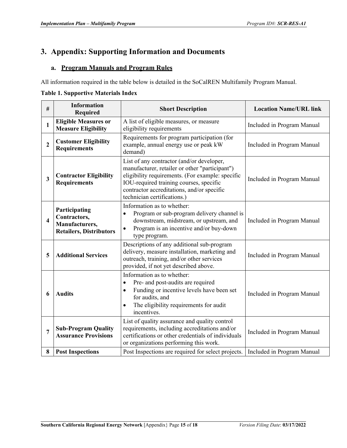### <span id="page-16-0"></span>**3. Appendix: Supporting Information and Documents**

#### <span id="page-16-1"></span>**a. Program Manuals and Program Rules**

All information required in the table below is detailed in the SoCalREN Multifamily Program Manual.

#### **Table 1. Supportive Materials Index**

| $\#$                    | <b>Information</b><br><b>Required</b>                                             | <b>Short Description</b>                                                                                                                                                                                                                                                | <b>Location Name/URL link</b> |
|-------------------------|-----------------------------------------------------------------------------------|-------------------------------------------------------------------------------------------------------------------------------------------------------------------------------------------------------------------------------------------------------------------------|-------------------------------|
| $\mathbf{1}$            | <b>Eligible Measures or</b><br><b>Measure Eligibility</b>                         | A list of eligible measures, or measure<br>eligibility requirements                                                                                                                                                                                                     | Included in Program Manual    |
| $\boldsymbol{2}$        | <b>Customer Eligibility</b><br><b>Requirements</b>                                | Requirements for program participation (for<br>example, annual energy use or peak kW<br>demand)                                                                                                                                                                         | Included in Program Manual    |
| $\overline{\mathbf{3}}$ | <b>Contractor Eligibility</b><br><b>Requirements</b>                              | List of any contractor (and/or developer,<br>manufacturer, retailer or other "participant")<br>eligibility requirements. (For example: specific<br>IOU-required training courses, specific<br>contractor accreditations, and/or specific<br>technician certifications.) | Included in Program Manual    |
| $\overline{\mathbf{4}}$ | Participating<br>Contractors,<br>Manufacturers,<br><b>Retailers, Distributors</b> | Information as to whether:<br>Program or sub-program delivery channel is<br>$\bullet$<br>downstream, midstream, or upstream, and<br>Program is an incentive and/or buy-down<br>$\bullet$<br>type program.                                                               | Included in Program Manual    |
| 5                       | <b>Additional Services</b>                                                        | Descriptions of any additional sub-program<br>delivery, measure installation, marketing and<br>outreach, training, and/or other services<br>provided, if not yet described above.                                                                                       | Included in Program Manual    |
| 6                       | <b>Audits</b>                                                                     | Information as to whether:<br>Pre- and post-audits are required<br>$\bullet$<br>Funding or incentive levels have been set<br>$\bullet$<br>for audits, and<br>The eligibility requirements for audit<br>$\bullet$<br>incentives.                                         | Included in Program Manual    |
| 7                       | <b>Sub-Program Quality</b><br><b>Assurance Provisions</b>                         | List of quality assurance and quality control<br>requirements, including accreditations and/or<br>certifications or other credentials of individuals<br>or organizations performing this work.                                                                          | Included in Program Manual    |
| 8                       | <b>Post Inspections</b>                                                           | Post Inspections are required for select projects.                                                                                                                                                                                                                      | Included in Program Manual    |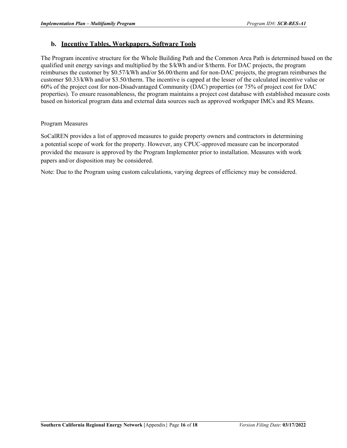#### <span id="page-17-0"></span>**b. Incentive Tables, Workpapers, Software Tools**

The Program incentive structure for the Whole Building Path and the Common Area Path is determined based on the qualified unit energy savings and multiplied by the \$/kWh and/or \$/therm. For DAC projects, the program reimburses the customer by \$0.57/kWh and/or \$6.00/therm and for non-DAC projects, the program reimburses the customer \$0.33/kWh and/or \$3.50/therm. The incentive is capped at the lesser of the calculated incentive value or 60% of the project cost for non-Disadvantaged Community (DAC) properties (or 75% of project cost for DAC properties). To ensure reasonableness, the program maintains a project cost database with established measure costs based on historical program data and external data sources such as approved workpaper IMCs and RS Means.

#### Program Measures

SoCalREN provides a list of approved measures to guide property owners and contractors in determining a potential scope of work for the property. However, any CPUC-approved measure can be incorporated provided the measure is approved by the Program Implementer prior to installation. Measures with work papers and/or disposition may be considered.

Note: Due to the Program using custom calculations, varying degrees of efficiency may be considered.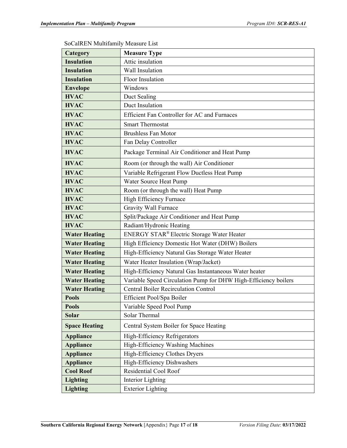| Category             | <b>Measure Type</b>                                             |  |  |
|----------------------|-----------------------------------------------------------------|--|--|
| <b>Insulation</b>    | Attic insulation                                                |  |  |
| <b>Insulation</b>    | Wall Insulation                                                 |  |  |
| <b>Insulation</b>    | <b>Floor Insulation</b>                                         |  |  |
| <b>Envelope</b>      | Windows                                                         |  |  |
| <b>HVAC</b>          | Duct Sealing                                                    |  |  |
| <b>HVAC</b>          | Duct Insulation                                                 |  |  |
| <b>HVAC</b>          | Efficient Fan Controller for AC and Furnaces                    |  |  |
| <b>HVAC</b>          | <b>Smart Thermostat</b>                                         |  |  |
| <b>HVAC</b>          | <b>Brushless Fan Motor</b>                                      |  |  |
| <b>HVAC</b>          | Fan Delay Controller                                            |  |  |
| <b>HVAC</b>          | Package Terminal Air Conditioner and Heat Pump                  |  |  |
| <b>HVAC</b>          | Room (or through the wall) Air Conditioner                      |  |  |
| <b>HVAC</b>          | Variable Refrigerant Flow Ductless Heat Pump                    |  |  |
| <b>HVAC</b>          | Water Source Heat Pump                                          |  |  |
| <b>HVAC</b>          | Room (or through the wall) Heat Pump                            |  |  |
| <b>HVAC</b>          | High Efficiency Furnace                                         |  |  |
| <b>HVAC</b>          | <b>Gravity Wall Furnace</b>                                     |  |  |
| <b>HVAC</b>          | Split/Package Air Conditioner and Heat Pump                     |  |  |
| <b>HVAC</b>          | Radiant/Hydronic Heating                                        |  |  |
| <b>Water Heating</b> | ENERGY STAR® Electric Storage Water Heater                      |  |  |
| <b>Water Heating</b> | High Efficiency Domestic Hot Water (DHW) Boilers                |  |  |
| <b>Water Heating</b> | High-Efficiency Natural Gas Storage Water Heater                |  |  |
| <b>Water Heating</b> | Water Heater Insulation (Wrap/Jacket)                           |  |  |
| <b>Water Heating</b> | High-Efficiency Natural Gas Instantaneous Water heater          |  |  |
| <b>Water Heating</b> | Variable Speed Circulation Pump for DHW High-Efficiency boilers |  |  |
| <b>Water Heating</b> | <b>Central Boiler Recirculation Control</b>                     |  |  |
| Pools                | Efficient Pool/Spa Boiler                                       |  |  |
| <b>Pools</b>         | Variable Speed Pool Pump                                        |  |  |
| <b>Solar</b>         | Solar Thermal                                                   |  |  |
| <b>Space Heating</b> | Central System Boiler for Space Heating                         |  |  |
| <b>Appliance</b>     | High-Efficiency Refrigerators                                   |  |  |
| <b>Appliance</b>     | High-Efficiency Washing Machines                                |  |  |
| <b>Appliance</b>     | High-Efficiency Clothes Dryers                                  |  |  |
| <b>Appliance</b>     | High-Efficiency Dishwashers                                     |  |  |
| <b>Cool Roof</b>     | Residential Cool Roof                                           |  |  |
| <b>Lighting</b>      | <b>Interior Lighting</b>                                        |  |  |
| <b>Lighting</b>      | <b>Exterior Lighting</b>                                        |  |  |

SoCalREN Multifamily Measure List